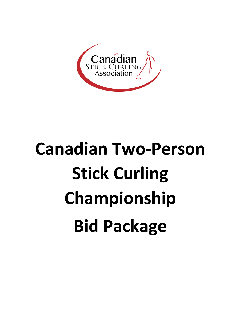

# **Canadian Two-Person Stick Curling Championship Bid Package**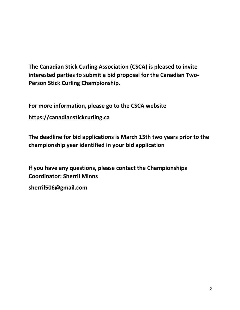**The Canadian Stick Curling Association (CSCA) is pleased to invite interested parties to submit a bid proposal for the Canadian Two-Person Stick Curling Championship.** 

**For more information, please go to the CSCA website**

**https://canadianstickcurling.ca**

**The deadline for bid applications is March 15th two years prior to the championship year identified in your bid application**

**If you have any questions, please contact the Championships Coordinator: Sherril Minns sherril506@gmail.com**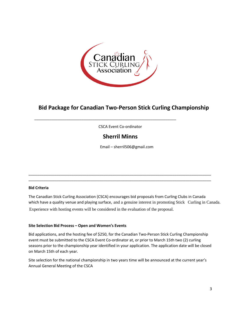

## **Bid Package for Canadian Two-Person Stick Curling Championship**

CSCA Event Co-ordinator

\_\_\_\_\_\_\_\_\_\_\_\_\_\_\_\_\_\_\_\_\_\_\_\_\_\_\_\_\_\_\_\_\_\_\_\_\_\_\_\_\_\_\_\_\_\_\_\_\_\_\_\_\_\_\_\_\_\_\_\_\_\_\_\_\_\_

## **Sherril Minns**

\_\_\_\_\_\_\_\_\_\_\_\_\_\_\_\_\_\_\_\_\_\_\_\_\_\_\_\_\_\_\_\_\_\_\_\_\_\_\_\_\_\_\_\_\_\_\_\_\_\_\_\_\_\_\_\_\_\_\_\_\_\_\_\_\_\_\_\_\_\_\_\_\_\_\_\_\_\_\_\_\_\_\_\_\_ \_\_\_\_\_\_\_\_\_\_\_\_\_\_\_\_\_\_\_\_\_\_\_\_\_\_\_\_\_\_\_\_\_\_\_\_\_\_\_\_\_\_\_\_\_\_\_\_\_\_\_\_\_\_\_\_\_\_\_\_\_\_\_\_\_\_\_\_\_\_\_\_\_\_\_\_\_\_\_\_\_\_\_\_\_

Email – sherril506@gmail.com

#### **Bid Criteria**

The Canadian Stick Curling Association (CSCA) encourages bid proposals from Curling Clubs in Canada which have a quality venue and playing surface, and a genuine interest in promoting Stick Curling in Canada. Experience with hosting events will be considered in the evaluation of the proposal.

#### **Site Selection Bid Process – Open and Women's Events**

Bid applications, and the hosting fee of \$250, for the Canadian Two-Person Stick Curling Championship event must be submitted to the CSCA Event Co-ordinator at, or prior to March 15th two (2) curling seasons prior to the championship year identified in your application. The application date will be closed on March 15th of each year.

Site selection for the national championship in two years time will be announced at the current year's Annual General Meeting of the CSCA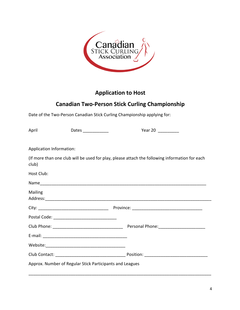

# **Application to Host**

## **Canadian Two-Person Stick Curling Championship**

Date of the Two-Person Canadian Stick Curling Championship applying for:

| April                                                    | Dates | Year 20                                                                                        |  |  |
|----------------------------------------------------------|-------|------------------------------------------------------------------------------------------------|--|--|
| Application Information:                                 |       |                                                                                                |  |  |
| club)                                                    |       | (If more than one club will be used for play, please attach the following information for each |  |  |
| Host Club:                                               |       |                                                                                                |  |  |
|                                                          |       |                                                                                                |  |  |
| <b>Mailing</b>                                           |       |                                                                                                |  |  |
|                                                          |       |                                                                                                |  |  |
|                                                          |       |                                                                                                |  |  |
|                                                          |       |                                                                                                |  |  |
|                                                          |       |                                                                                                |  |  |
|                                                          |       |                                                                                                |  |  |
|                                                          |       |                                                                                                |  |  |
| Approx. Number of Regular Stick Participants and Leagues |       |                                                                                                |  |  |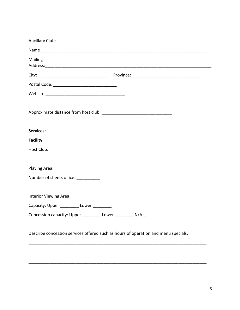| <b>Ancillary Club:</b>                                                             |
|------------------------------------------------------------------------------------|
|                                                                                    |
| Mailing                                                                            |
|                                                                                    |
|                                                                                    |
|                                                                                    |
|                                                                                    |
|                                                                                    |
|                                                                                    |
| <b>Services:</b>                                                                   |
| <b>Facility</b>                                                                    |
| Host Club:                                                                         |
|                                                                                    |
| Playing Area:                                                                      |
| Number of sheets of ice: ___________                                               |
|                                                                                    |
| Interior Viewing Area:                                                             |
| Capacity: Upper __________ Lower ________                                          |
| Concession capacity: Upper _________ Lower __________ N/A _                        |
|                                                                                    |
| Describe concession services offered such as hours of operation and menu specials: |

\_\_\_\_\_\_\_\_\_\_\_\_\_\_\_\_\_\_\_\_\_\_\_\_\_\_\_\_\_\_\_\_\_\_\_\_\_\_\_\_\_\_\_\_\_\_\_\_\_\_\_\_\_\_\_\_\_\_\_\_\_\_\_\_\_\_\_\_\_\_\_\_\_\_\_\_

\_\_\_\_\_\_\_\_\_\_\_\_\_\_\_\_\_\_\_\_\_\_\_\_\_\_\_\_\_\_\_\_\_\_\_\_\_\_\_\_\_\_\_\_\_\_\_\_\_\_\_\_\_\_\_\_\_\_\_\_\_\_\_\_\_\_\_\_\_\_\_\_\_\_\_\_

\_\_\_\_\_\_\_\_\_\_\_\_\_\_\_\_\_\_\_\_\_\_\_\_\_\_\_\_\_\_\_\_\_\_\_\_\_\_\_\_\_\_\_\_\_\_\_\_\_\_\_\_\_\_\_\_\_\_\_\_\_\_\_\_\_\_\_\_\_\_\_\_\_\_\_\_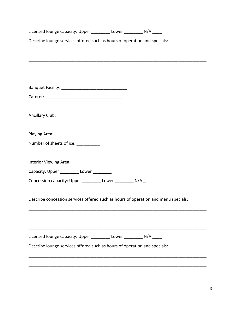| Licensed lounge capacity: Upper __________ Lower ___________ N/A _____             |  |
|------------------------------------------------------------------------------------|--|
| Describe lounge services offered such as hours of operation and specials:          |  |
|                                                                                    |  |
|                                                                                    |  |
|                                                                                    |  |
|                                                                                    |  |
|                                                                                    |  |
| Ancillary Club:                                                                    |  |
| Playing Area:                                                                      |  |
| Number of sheets of ice: ___________                                               |  |
| Interior Viewing Area:                                                             |  |
| Capacity: Upper ___________ Lower _________                                        |  |
| Concession capacity: Upper _________ Lower __________ N/A _                        |  |
| Describe concession services offered such as hours of operation and menu specials: |  |
|                                                                                    |  |
| Licensed lounge capacity: Upper __________ Lower __________ N/A _____              |  |
| Describe lounge services offered such as hours of operation and specials:          |  |
|                                                                                    |  |
|                                                                                    |  |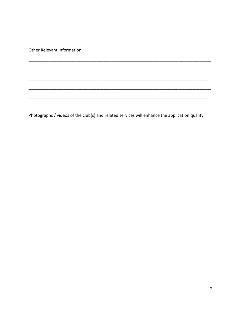Other Relevant Information:

Photographs / videos of the club(s) and related services will enhance the application quality.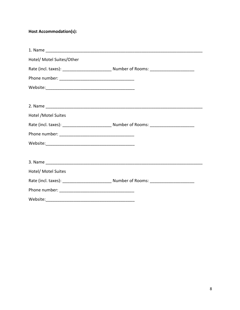## Host Accommodation(s):

| Hotel/ Motel Suites/Other |  |
|---------------------------|--|
|                           |  |
|                           |  |
|                           |  |
|                           |  |
|                           |  |
| Hotel / Motel Suites      |  |
|                           |  |
|                           |  |
|                           |  |
|                           |  |
|                           |  |
| Hotel/ Motel Suites       |  |
|                           |  |
|                           |  |
|                           |  |